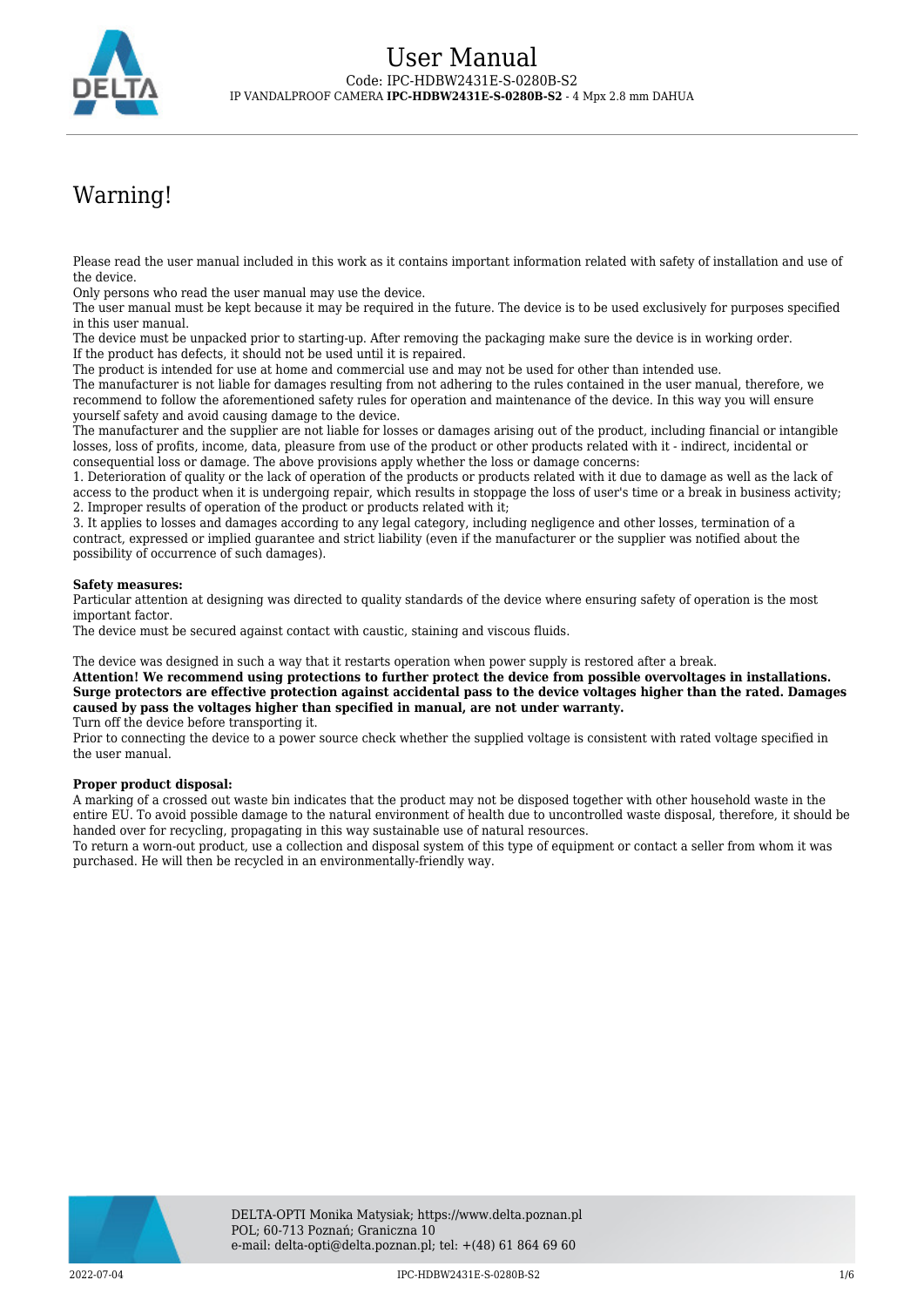

# Warning!

Please read the user manual included in this work as it contains important information related with safety of installation and use of the device.

Only persons who read the user manual may use the device.

The user manual must be kept because it may be required in the future. The device is to be used exclusively for purposes specified in this user manual.

The device must be unpacked prior to starting-up. After removing the packaging make sure the device is in working order. If the product has defects, it should not be used until it is repaired.

The product is intended for use at home and commercial use and may not be used for other than intended use.

The manufacturer is not liable for damages resulting from not adhering to the rules contained in the user manual, therefore, we recommend to follow the aforementioned safety rules for operation and maintenance of the device. In this way you will ensure yourself safety and avoid causing damage to the device.

The manufacturer and the supplier are not liable for losses or damages arising out of the product, including financial or intangible losses, loss of profits, income, data, pleasure from use of the product or other products related with it - indirect, incidental or consequential loss or damage. The above provisions apply whether the loss or damage concerns:

1. Deterioration of quality or the lack of operation of the products or products related with it due to damage as well as the lack of access to the product when it is undergoing repair, which results in stoppage the loss of user's time or a break in business activity; 2. Improper results of operation of the product or products related with it;

3. It applies to losses and damages according to any legal category, including negligence and other losses, termination of a contract, expressed or implied guarantee and strict liability (even if the manufacturer or the supplier was notified about the possibility of occurrence of such damages).

### **Safety measures:**

Particular attention at designing was directed to quality standards of the device where ensuring safety of operation is the most important factor.

The device must be secured against contact with caustic, staining and viscous fluids.

The device was designed in such a way that it restarts operation when power supply is restored after a break.

**Attention! We recommend using protections to further protect the device from possible overvoltages in installations. Surge protectors are effective protection against accidental pass to the device voltages higher than the rated. Damages caused by pass the voltages higher than specified in manual, are not under warranty.**

Turn off the device before transporting it.

Prior to connecting the device to a power source check whether the supplied voltage is consistent with rated voltage specified in the user manual.

#### **Proper product disposal:**

A marking of a crossed out waste bin indicates that the product may not be disposed together with other household waste in the entire EU. To avoid possible damage to the natural environment of health due to uncontrolled waste disposal, therefore, it should be handed over for recycling, propagating in this way sustainable use of natural resources.

To return a worn-out product, use a collection and disposal system of this type of equipment or contact a seller from whom it was purchased. He will then be recycled in an environmentally-friendly way.

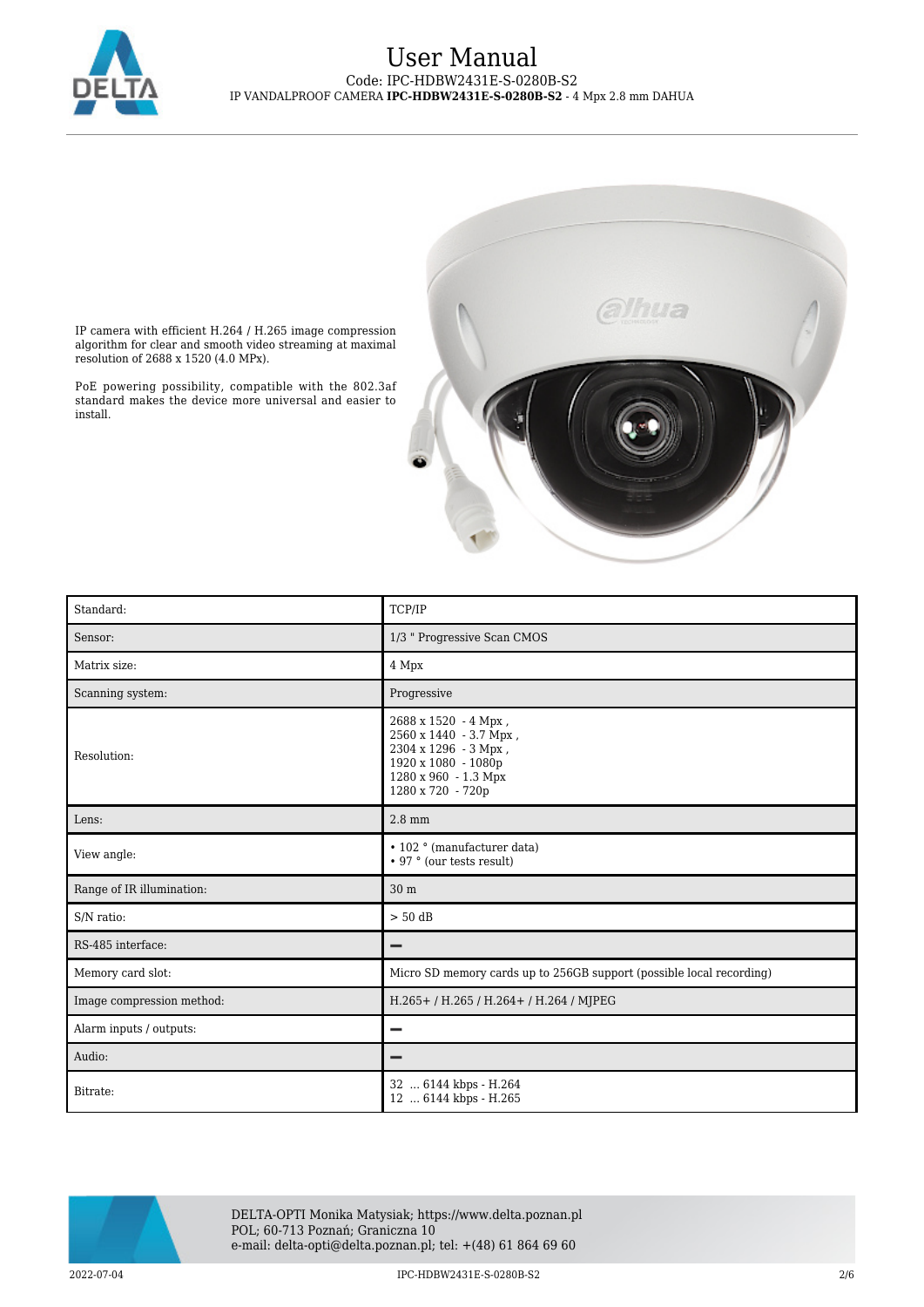



IP camera with efficient H.264 / H.265 image compression algorithm for clear and smooth video streaming at maximal resolution of 2688 x 1520 (4.0 MPx).

PoE powering possibility, compatible with the 802.3af standard makes the device more universal and easier to install.

| Standard:                 | TCP/IP                                                                                                                                     |
|---------------------------|--------------------------------------------------------------------------------------------------------------------------------------------|
| Sensor:                   | 1/3 " Progressive Scan CMOS                                                                                                                |
| Matrix size:              | 4 Mpx                                                                                                                                      |
| Scanning system:          | Progressive                                                                                                                                |
| Resolution:               | 2688 x 1520 - 4 Mpx,<br>2560 x 1440 - 3.7 Mpx,<br>2304 x 1296 - 3 Mpx,<br>1920 x 1080 - 1080p<br>1280 x 960 - 1.3 Mpx<br>1280 x 720 - 720p |
| Lens:                     | $2.8 \text{ mm}$                                                                                                                           |
| View angle:               | • 102 ° (manufacturer data)<br>• 97 ° (our tests result)                                                                                   |
| Range of IR illumination: | 30 m                                                                                                                                       |
| S/N ratio:                | $> 50$ dB                                                                                                                                  |
| RS-485 interface:         |                                                                                                                                            |
| Memory card slot:         | Micro SD memory cards up to 256GB support (possible local recording)                                                                       |
| Image compression method: | H.265+/H.265/H.264+/H.264/MJPEG                                                                                                            |
| Alarm inputs / outputs:   | −                                                                                                                                          |
| Audio:                    |                                                                                                                                            |
| Bitrate:                  | 32  6144 kbps - H.264<br>12  6144 kbps - H.265                                                                                             |



DELTA-OPTI Monika Matysiak; https://www.delta.poznan.pl POL; 60-713 Poznań; Graniczna 10 e-mail: delta-opti@delta.poznan.pl; tel: +(48) 61 864 69 60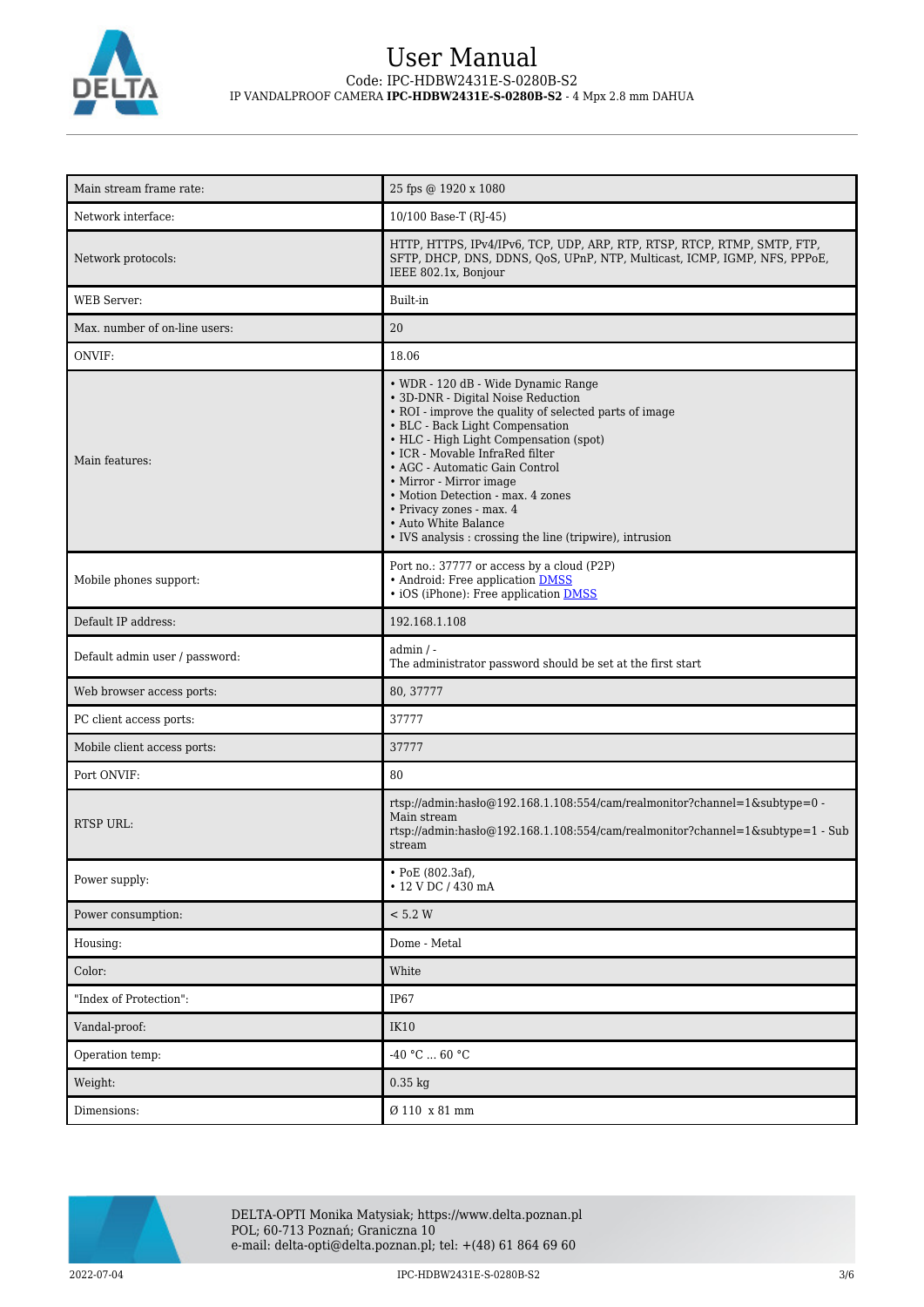

| Main stream frame rate:        | 25 fps @ 1920 x 1080                                                                                                                                                                                                                                                                                                                                                                                                                                                  |
|--------------------------------|-----------------------------------------------------------------------------------------------------------------------------------------------------------------------------------------------------------------------------------------------------------------------------------------------------------------------------------------------------------------------------------------------------------------------------------------------------------------------|
| Network interface:             | 10/100 Base-T (RJ-45)                                                                                                                                                                                                                                                                                                                                                                                                                                                 |
| Network protocols:             | HTTP, HTTPS, IPv4/IPv6, TCP, UDP, ARP, RTP, RTSP, RTCP, RTMP, SMTP, FTP,<br>SFTP, DHCP, DNS, DDNS, QoS, UPnP, NTP, Multicast, ICMP, IGMP, NFS, PPPoE,<br>IEEE 802.1x, Bonjour                                                                                                                                                                                                                                                                                         |
| WEB Server:                    | Built-in                                                                                                                                                                                                                                                                                                                                                                                                                                                              |
| Max. number of on-line users:  | 20                                                                                                                                                                                                                                                                                                                                                                                                                                                                    |
| ONVIF:                         | 18.06                                                                                                                                                                                                                                                                                                                                                                                                                                                                 |
| Main features:                 | • WDR - 120 dB - Wide Dynamic Range<br>• 3D-DNR - Digital Noise Reduction<br>• ROI - improve the quality of selected parts of image<br>• BLC - Back Light Compensation<br>• HLC - High Light Compensation (spot)<br>• ICR - Movable InfraRed filter<br>• AGC - Automatic Gain Control<br>• Mirror - Mirror image<br>• Motion Detection - max. 4 zones<br>• Privacy zones - max. 4<br>• Auto White Balance<br>• IVS analysis : crossing the line (tripwire), intrusion |
| Mobile phones support:         | Port no.: 37777 or access by a cloud (P2P)<br>• Android: Free application DMSS<br>• iOS (iPhone): Free application <b>DMSS</b>                                                                                                                                                                                                                                                                                                                                        |
| Default IP address:            | 192.168.1.108                                                                                                                                                                                                                                                                                                                                                                                                                                                         |
| Default admin user / password: | $admin / -$<br>The administrator password should be set at the first start                                                                                                                                                                                                                                                                                                                                                                                            |
| Web browser access ports:      | 80, 37777                                                                                                                                                                                                                                                                                                                                                                                                                                                             |
| PC client access ports:        | 37777                                                                                                                                                                                                                                                                                                                                                                                                                                                                 |
| Mobile client access ports:    | 37777                                                                                                                                                                                                                                                                                                                                                                                                                                                                 |
| Port ONVIF:                    | 80                                                                                                                                                                                                                                                                                                                                                                                                                                                                    |
| RTSP URL:                      | rtsp://admin:hasło@192.168.1.108:554/cam/realmonitor?channel=1&subtype=0 -<br>Main stream<br>rtsp://admin.hasho@192.168.1.108:554/cam/realmonitor?channel=1&subtype=1 - Sub<br>stream                                                                                                                                                                                                                                                                                 |
| Power supply:                  | • PoE (802.3af),<br>• 12 V DC / 430 mA                                                                                                                                                                                                                                                                                                                                                                                                                                |
| Power consumption:             | < 5.2 W                                                                                                                                                                                                                                                                                                                                                                                                                                                               |
| Housing:                       | Dome - Metal                                                                                                                                                                                                                                                                                                                                                                                                                                                          |
| Color:                         | White                                                                                                                                                                                                                                                                                                                                                                                                                                                                 |
| "Index of Protection":         | <b>IP67</b>                                                                                                                                                                                                                                                                                                                                                                                                                                                           |
| Vandal-proof:                  | <b>IK10</b>                                                                                                                                                                                                                                                                                                                                                                                                                                                           |
| Operation temp:                | -40 °C $\ldots$ 60 °C                                                                                                                                                                                                                                                                                                                                                                                                                                                 |
| Weight:                        | $0.35$ kg                                                                                                                                                                                                                                                                                                                                                                                                                                                             |
| Dimensions:                    | Ø 110 x 81 mm                                                                                                                                                                                                                                                                                                                                                                                                                                                         |

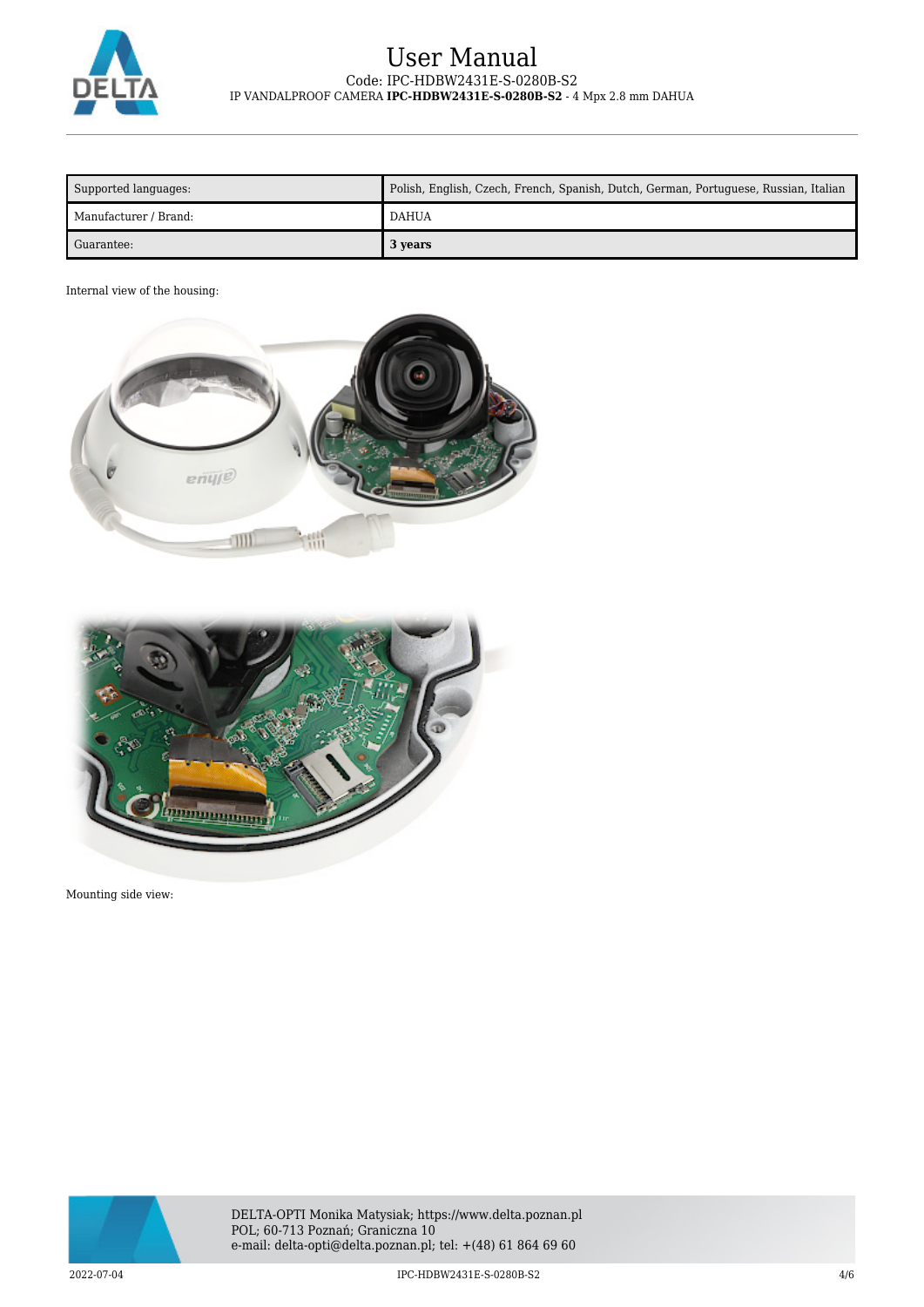

| Supported languages:  | Polish, English, Czech, French, Spanish, Dutch, German, Portuguese, Russian, Italian |
|-----------------------|--------------------------------------------------------------------------------------|
| Manufacturer / Brand: | <b>DAHUA</b>                                                                         |
| Guarantee:            | 3 years                                                                              |

## Internal view of the housing:





Mounting side view:

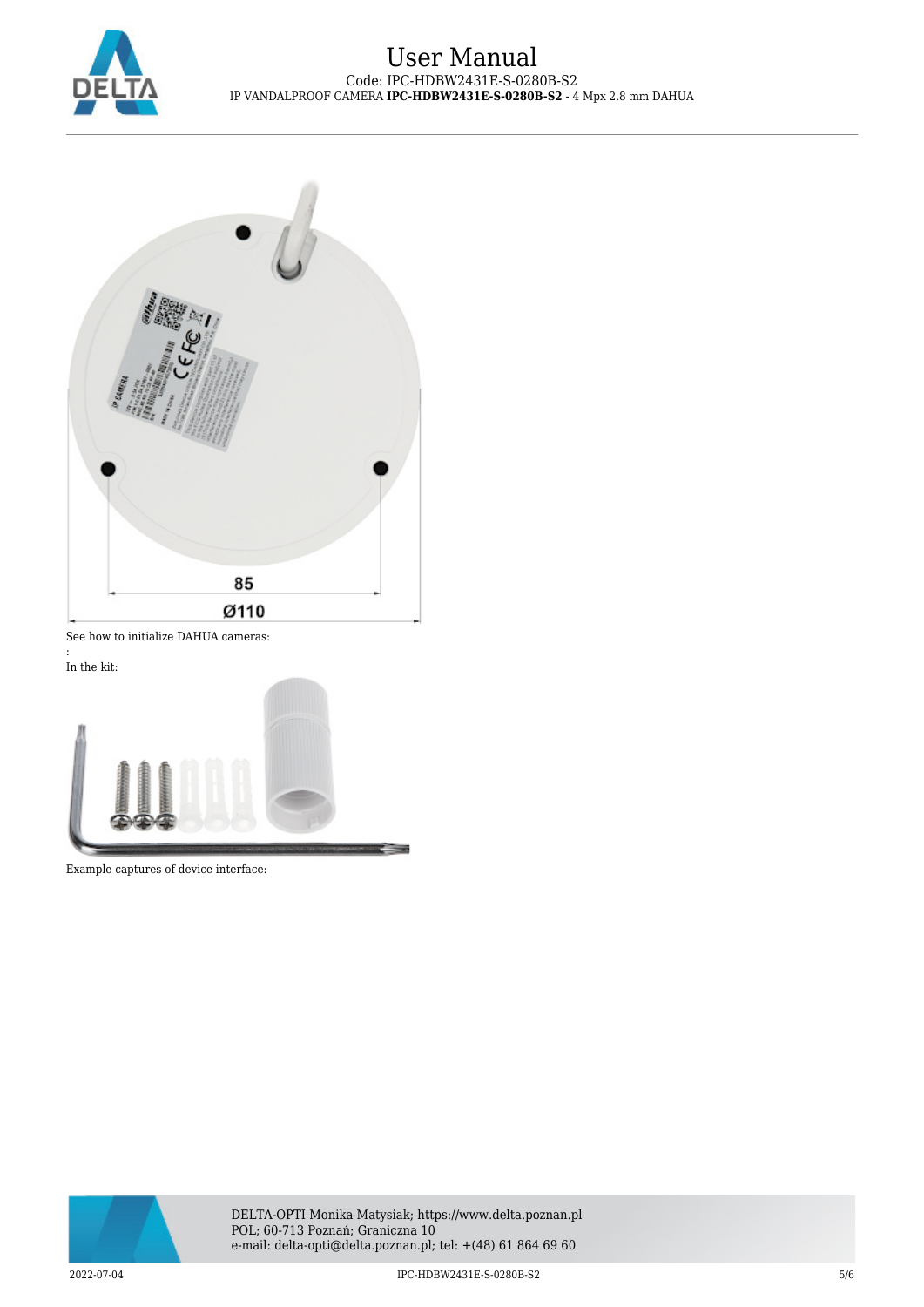



See how to initialize DAHUA cameras:

: In the kit:



Example captures of device interface: